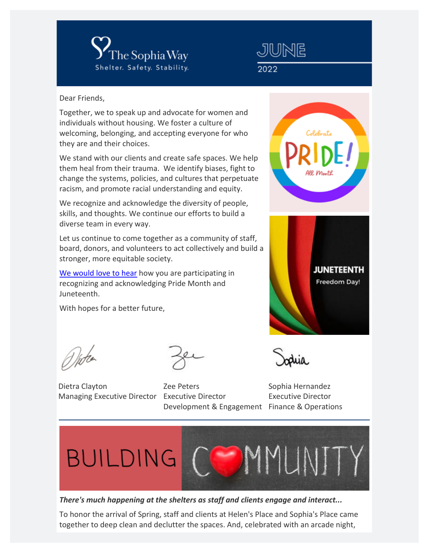



Dear Friends,

Together, we to speak up and advocate for women and individuals without housing. We foster a culture of welcoming, belonging, and accepting everyone for who they are and their choices.

We stand with our clients and create safe spaces. We help them heal from their trauma. We identify biases, fight to change the systems, policies, and cultures that perpetuate racism, and promote racial understanding and equity.

We recognize and acknowledge the diversity of people, skills, and thoughts. We continue our efforts to build a diverse team in every way.

Let us continue to come together as a community of staff, board, donors, and volunteers to act collectively and build a stronger, more equitable society.

[We would love to hear](mailto:executiveteam@sophiaway.org?subject=Acknowledging%20Pride%20Month%20and%20Juneteenth) how you are participating in recognizing and acknowledging Pride Month and Juneteenth.

With hopes for a better future,

Witch

Dietra Clayton Managing Executive Director Executive Director

Zee Peters Development & Engagement Finance & Operations





Sophia Hernandez Executive Director



*There's much happening at the shelters as staff and clients engage and interact...*

To honor the arrival of Spring, staff and clients at Helen's Place and Sophia's Place came together to deep clean and declutter the spaces. And, celebrated with an arcade night,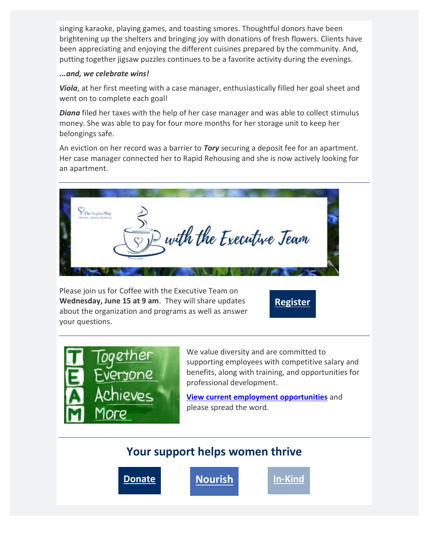singing karaoke, playing games, and toasting smores. Thoughtful donors have been brightening up the shelters and bringing joy with donations of fresh flowers. Clients have been appreciating and enjoying the different cuisines prepared by the community. And, putting together jigsaw puzzles continues to be a favorite activity during the evenings.

## *...and, we celebrate wins!*

*Viola*, at her first meeting with a case manager, enthusiastically filled her goal sheet and went on to complete each goal!

*Diana* filed her taxes with the help of her case manager and was able to collect stimulus money. She was able to pay for four more months for her storage unit to keep her belongings safe.

An eviction on her record was a barrier to *Tory* securing a deposit fee for an apartment. Her case manager connected her to Rapid Rehousing and she is now actively looking for an apartment.



Please join us for Coffee with the Executive Team on **Wednesday, June 15 at 9 am**. They will share updates about the organization and programs as well as answer your questions.

**[Register](https://eml-pusa01.app.blackbaud.net/intv2/j/DE159AFE-1A86-4AA9-9816-AFE64D755EF3/r/DE159AFE-1A86-4AA9-9816-AFE64D755EF3_e30def44-1668-4601-a619-902a697291e2/l/B7EAFF4F-7790-47CD-B3D7-B8F3C2D59BD8/c)**



We value diversity and are committed to supporting employees with competitive salary and benefits, along with training, and opportunities for professional development.

**[View current employment opportunities](https://eml-pusa01.app.blackbaud.net/intv2/j/DE159AFE-1A86-4AA9-9816-AFE64D755EF3/r/DE159AFE-1A86-4AA9-9816-AFE64D755EF3_e30def44-1668-4601-a619-902a697291e2/l/C1D89D78-3A85-4CC5-8A1C-EF4CDE15F94E/c)** and please spread the word.

## **Your support helps women thrive**